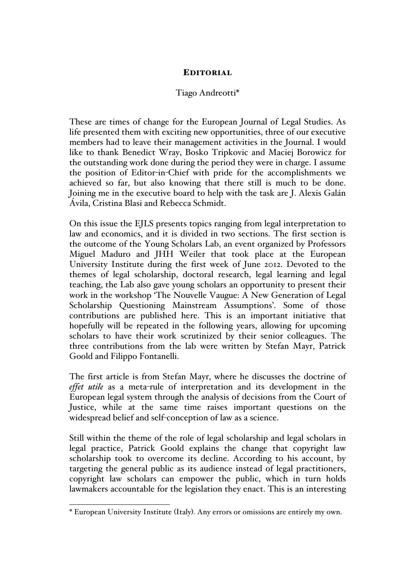## EDITORIAL

## Tiago Andreotti\*

These are times of change for the European Journal of Legal Studies. As life presented them with exciting new opportunities, three of our executive members had to leave their management activities in the Journal. I would like to thank Benedict Wray, Bosko Tripkovic and Maciej Borowicz for the outstanding work done during the period they were in charge. I assume the position of Editor-in-Chief with pride for the accomplishments we achieved so far, but also knowing that there still is much to be done. Joining me in the executive board to help with the task are J. Alexis Galán Ávila, Cristina Blasi and Rebecca Schmidt.

On this issue the EJLS presents topics ranging from legal interpretation to law and economics, and it is divided in two sections. The first section is the outcome of the Young Scholars Lab, an event organized by Professors Miguel Maduro and JHH Weiler that took place at the European University Institute during the first week of June 2012. Devoted to the themes of legal scholarship, doctoral research, legal learning and legal teaching, the Lab also gave young scholars an opportunity to present their work in the workshop 'The Nouvelle Vaugue: A New Generation of Legal Scholarship Questioning Mainstream Assumptions'. Some of those contributions are published here. This is an important initiative that hopefully will be repeated in the following years, allowing for upcoming scholars to have their work scrutinized by their senior colleagues. The three contributions from the lab were written by Stefan Mayr, Patrick Goold and Filippo Fontanelli.

The first article is from Stefan Mayr, where he discusses the doctrine of *effet utile* as a meta-rule of interpretation and its development in the European legal system through the analysis of decisions from the Court of Justice, while at the same time raises important questions on the widespread belief and self-conception of law as a science.

Still within the theme of the role of legal scholarship and legal scholars in legal practice, Patrick Goold explains the change that copyright law scholarship took to overcome its decline. According to his account, by targeting the general public as its audience instead of legal practitioners, copyright law scholars can empower the public, which in turn holds lawmakers accountable for the legislation they enact. This is an interesting

 <sup>\*</sup> European University Institute (Italy). Any errors or omissions are entirely my own.